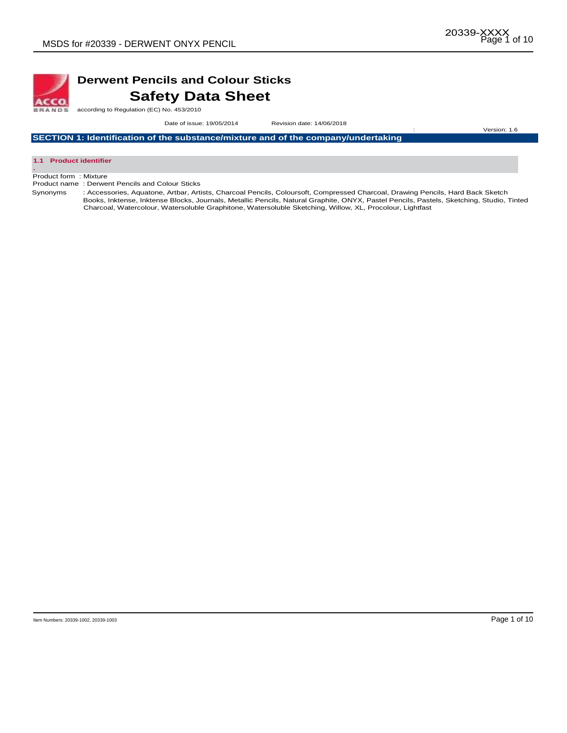

## **Derwent Pencils and Colour Sticks Safety Data Sheet**

according to Regulation (EC) No. 453/2010

 Date of issue: 19/05/2014Revision date: 14/06/2018 : Version: 1.6

**SECTION 1: Identification of the substance/mixture and of the company/undertaking** 



Product form : Mixture

Product name : Derwent Pencils and Colour Sticks

Synonyms : Accessories, Aquatone, Artbar, Artists, Charcoal Pencils, Coloursoft, Compressed Charcoal, Drawing Pencils, Hard Back Sketch Books, Inktense, Inktense Blocks, Journals, Metallic Pencils, Natural Graphite, ONYX, Pastel Pencils, Pastels, Sketching, Studio, Tinted Charcoal, Watercolour, Watersoluble Graphitone, Watersoluble Sketching, Willow, XL, Procolour, Lightfast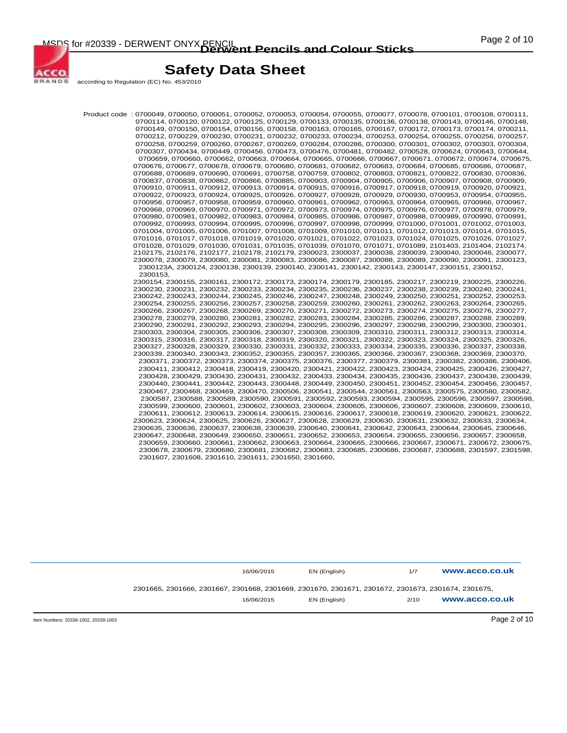

according to Regulation (EC) No. 453/2010

ACCO **BRANDS** 

> Product code : 0700049, 0700050, 0700051, 0700052, 0700053, 0700054, 0700055, 0700077, 0700078, 0700101, 0700108, 0700111, 0700114, 0700120, 0700122, 0700125, 0700129, 0700133, 0700135, 0700136, 0700138, 0700143, 0700146, 0700148, 0700149, 0700150, 0700154, 0700156, 0700158, 0700163, 0700165, 0700167, 0700172, 0700173, 0700174, 0700211, 0700212, 0700229, 0700230, 0700231, 0700232, 0700233, 0700234, 0700253, 0700254, 0700255, 0700256, 0700257, 0700258, 0700259, 0700260, 0700267, 0700269, 0700284, 0700286, 0700300, 0700301, 0700302, 0700303, 0700304, 0700307, 0700434, 0700449, 0700456, 0700473, 0700476, 0700481, 0700482, 0700528, 0700624, 0700643, 0700644, 0700659, 0700660, 0700662, 0700663, 0700664, 0700665, 0700666, 0700667, 0700671, 0700672, 0700674, 0700675, 0700676, 0700677, 0700678, 0700679, 0700680, 0700681, 0700682, 0700683, 0700684, 0700685, 0700686, 0700687, 0700688, 0700689, 0700690, 0700691, 0700758, 0700759, 0700802, 0700803, 0700821, 0700822, 0700830, 0700836, 0700837, 0700838, 0700862, 0700866, 0700885, 0700903, 0700904, 0700905, 0700906, 0700907, 0700908, 0700909, 0700910, 0700911, 0700912, 0700913, 0700914, 0700915, 0700916, 0700917, 0700918, 0700919, 0700920, 0700921, 0700922, 0700923, 0700924, 0700925, 0700926, 0700927, 0700928, 0700929, 0700930, 0700953, 0700954, 0700955, 0700956, 0700957, 0700958, 0700959, 0700960, 0700961, 0700962, 0700963, 0700964, 0700965, 0700966, 0700967, 0700968, 0700969, 0700970, 0700971, 0700972, 0700973, 0700974, 0700975, 0700976, 0700977, 0700978, 0700979, 0700980, 0700981, 0700982, 0700983, 0700984, 0700985, 0700986, 0700987, 0700988, 0700989, 0700990, 0700991, 0700992, 0700993, 0700994, 0700995, 0700996, 0700997, 0700998, 0700999, 0701000, 0701001, 0701002, 0701003, 0701004, 0701005, 0701006, 0701007, 0701008, 0701009, 0701010, 0701011, 0701012, 0701013, 0701014, 0701015, 0701016, 0701017, 0701018, 0701019, 0701020, 0701021, 0701022, 0701023, 0701024, 0701025, 0701026, 0701027, 0701028, 0701029, 0701030, 0701031, 0701035, 0701039, 0701070, 0701071, 0701089, 2101403, 2101404, 2102174, 2102175, 2102176, 2102177, 2102178, 2102179, 2300023, 2300037, 2300038, 2300039, 2300040, 2300046, 2300077, 2300078, 2300079, 2300080, 2300081, 2300083, 2300086, 2300087, 2300088, 2300089, 2300090, 2300091, 2300123, 2300123A, 2300124, 2300138, 2300139, 2300140, 2300141, 2300142, 2300143, 2300147, 2300151, 2300152, 2300153, 2300154, 2300155, 2300161, 2300172, 2300173, 2300174, 2300179, 2300185, 2300217, 2300219, 2300225, 2300226, 2300230, 2300231, 2300232, 2300233, 2300234, 2300235, 2300236, 2300237, 2300238, 2300239, 2300240, 2300241, 2300242, 2300243, 2300244, 2300245, 2300246, 2300247, 2300248, 2300249, 2300250, 2300251, 2300252, 2300253, 2300254, 2300255, 2300256, 2300257, 2300258, 2300259, 2300260, 2300261, 2300262, 2300263, 2300264, 2300265, 2300266, 2300267, 2300268, 2300269, 2300270, 2300271, 2300272, 2300273, 2300274, 2300275, 2300276, 2300277, 2300278, 2300279, 2300280, 2300281, 2300282, 2300283, 2300284, 2300285, 2300286, 2300287, 2300288, 2300289, 2300290, 2300291, 2300292, 2300293, 2300294, 2300295, 2300296, 2300297, 2300298, 2300299, 2300300, 2300301, 2300303, 2300304, 2300305, 2300306, 2300307, 2300308, 2300309, 2300310, 2300311, 2300312, 2300313, 2300314, 2300315, 2300316, 2300317, 2300318, 2300319, 2300320, 2300321, 2300322, 2300323, 2300324, 2300325, 2300326, 2300327, 2300328, 2300329, 2300330, 2300331, 2300332, 2300333, 2300334, 2300335, 2300336, 2300337, 2300338, 2300339, 2300340, 2300343, 2300352, 2300355, 2300357, 2300365, 2300366, 2300367, 2300368, 2300369, 2300370, 2300371, 2300372, 2300373, 2300374, 2300375, 2300376, 2300377, 2300379, 2300381, 2300382, 2300386, 2300406, 2300411, 2300412, 2300418, 2300419, 2300420, 2300421, 2300422, 2300423, 2300424, 2300425, 2300426, 2300427, 2300428, 2300429, 2300430, 2300431, 2300432, 2300433, 2300434, 2300435, 2300436, 2300437, 2300438, 2300439, 2300440, 2300441, 2300442, 2300443, 2300448, 2300449, 2300450, 2300451, 2300452, 2300454, 2300456, 2300457, 2300467, 2300468, 2300469, 2300470, 2300506, 2300541, 2300544, 2300561, 2300563, 2300575, 2300580, 2300582, 2300587, 2300588, 2300589, 2300590, 2300591, 2300592, 2300593, 2300594, 2300595, 2300596, 2300597, 2300598, 2300599, 2300600, 2300601, 2300602, 2300603, 2300604, 2300605, 2300606, 2300607, 2300608, 2300609, 2300610, 2300611, 2300612, 2300613, 2300614, 2300615, 2300616, 2300617, 2300618, 2300619, 2300620, 2300621, 2300622, 2300623, 2300624, 2300625, 2300626, 2300627, 2300628, 2300629, 2300630, 2300631, 2300632, 2300633, 2300634, 2300635, 2300636, 2300637, 2300638, 2300639, 2300640, 2300641, 2300642, 2300643, 2300644, 2300645, 2300646, 2300647, 2300648, 2300649, 2300650, 2300651, 2300652, 2300653, 2300654, 2300655, 2300656, 2300657, 2300658, 2300659, 2300660, 2300661, 2300662, 2300663, 2300664, 2300665, 2300666, 2300667, 2300671, 2300672, 2300675, 2300678, 2300679, 2300680, 2300681, 2300682, 2300683, 2300685, 2300686, 2300687, 2300688, 2301597, 2301598, 2301607, 2301608, 2301610, 2301611, 2301650, 2301660,

|                                      |                                                                                                    | 16/06/2015 | EN (English) | 1/7  | www.acco.co.uk |
|--------------------------------------|----------------------------------------------------------------------------------------------------|------------|--------------|------|----------------|
|                                      | 2301665, 2301666, 2301667, 2301668, 2301669, 2301670, 2301671, 2301672, 2301673, 2301674, 2301675, | 16/06/2015 | EN (English) | 2/10 | www.acco.co.uk |
| Item Numbers: 20339-1002, 20339-1003 |                                                                                                    |            |              |      | Page 2 of 10   |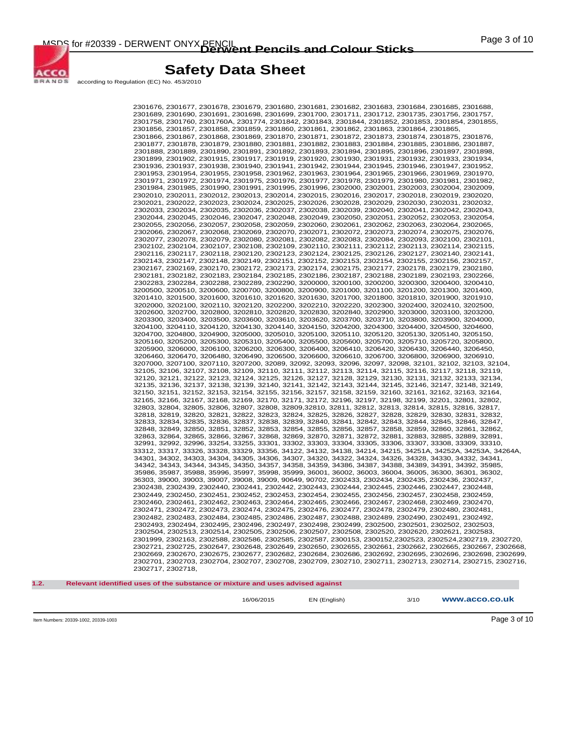

according to Regulation (EC) No. 453/2010

2301676, 2301677, 2301678, 2301679, 2301680, 2301681, 2301682, 2301683, 2301684, 2301685, 2301688, 2301689, 2301690, 2301691, 2301698, 2301699, 2301700, 2301711, 2301712, 2301735, 2301756, 2301757, 2301758, 2301760, 2301760A, 2301774, 2301842, 2301843, 2301844, 2301852, 2301853, 2301854, 2301855, 2301856, 2301857, 2301858, 2301859, 2301860, 2301861, 2301862, 2301863, 2301864, 2301865, 2301866, 2301867, 2301868, 2301869, 2301870, 2301871, 2301872, 2301873, 2301874, 2301875, 2301876, 2301877, 2301878, 2301879, 2301880, 2301881, 2301882, 2301883, 2301884, 2301885, 2301886, 2301887, 2301888, 2301889, 2301890, 2301891, 2301892, 2301893, 2301894, 2301895, 2301896, 2301897, 2301898, 2301899, 2301902, 2301915, 2301917, 2301919, 2301920, 2301930, 2301931, 2301932, 2301933, 2301934, 2301936, 2301937, 2301938, 2301940, 2301941, 2301942, 2301944, 2301945, 2301946, 2301947, 2301952, 2301953, 2301954, 2301955, 2301958, 2301962, 2301963, 2301964, 2301965, 2301966, 2301969, 2301970, 2301971, 2301972, 2301974, 2301975, 2301976, 2301977, 2301978, 2301979, 2301980, 2301981, 2301982, 2301984, 2301985, 2301990, 2301991, 2301995, 2301996, 2302000, 2302001, 2302003, 2302004, 2302009, 2302010, 2302011, 2302012, 2302013, 2302014, 2302015, 2302016, 2302017, 2302018, 2302019, 2302020, 2302021, 2302022, 2302023, 2302024, 2302025, 2302026, 2302028, 2302029, 2302030, 2302031, 2302032, 2302033, 2302034, 2302035, 2302036, 2302037, 2302038, 2302039, 2302040, 2302041, 2302042, 2302043, 2302044, 2302045, 2302046, 2302047, 2302048, 2302049, 2302050, 2302051, 2302052, 2302053, 2302054, 2302055, 2302056, 2302057, 2302058, 2302059, 2302060, 2302061, 2302062, 2302063, 2302064, 2302065, 2302066, 2302067, 2302068, 2302069, 2302070, 2302071, 2302072, 2302073, 2302074, 2302075, 2302076, 2302077, 2302078, 2302079, 2302080, 2302081, 2302082, 2302083, 2302084, 2302093, 2302100, 2302101, 2302102, 2302104, 2302107, 2302108, 2302109, 2302110, 2302111, 2302112, 2302113, 2302114, 2302115, 2302116, 2302117, 2302118, 2302120, 2302123, 2302124, 2302125, 2302126, 2302127, 2302140, 2302141, 2302143, 2302147, 2302148, 2302149, 2302151, 2302152, 2302153, 2302154, 2302155, 2302156, 2302157, 2302167, 2302169, 2302170, 2302172, 2302173, 2302174, 2302175, 2302177, 2302178, 2302179, 2302180, 2302181, 2302182, 2302183, 2302184, 2302185, 2302186, 2302187, 2302188, 2302189, 2302193, 2302266, 2302283, 2302284, 2302288, 2302289, 2302290, 3200000, 3200100, 3200200, 3200300, 3200400, 3200410, 3200500, 3200510, 3200600, 3200700, 3200800, 3200900, 3201000, 3201100, 3201200, 3201300, 3201400, 3201410, 3201500, 3201600, 3201610, 3201620, 3201630, 3201700, 3201800, 3201810, 3201900, 3201910, 3202000, 3202100, 3202110, 3202120, 3202200, 3202210, 3202220, 3202300, 3202400, 3202410, 3202500, 3202600, 3202700, 3202800, 3202810, 3202820, 3202830, 3202840, 3202900, 3203000, 3203100, 3203200, 3203300, 3203400, 3203500, 3203600, 3203610, 3203620, 3203700, 3203710, 3203800, 3203900, 3204000, 3204100, 3204110, 3204120, 3204130, 3204140, 3204150, 3204200, 3204300, 3204400, 3204500, 3204600, 3204700, 3204800, 3204900, 3205000, 3205010, 3205100, 3205110, 3205120, 3205130, 3205140, 3205150, 3205160, 3205200, 3205300, 3205310, 3205400, 3205500, 3205600, 3205700, 3205710, 3205720, 3205800, 3205900, 3206000, 3206100, 3206200, 3206300, 3206400, 3206410, 3206420, 3206430, 3206440, 3206450, 3206460, 3206470, 3206480, 3206490, 3206500, 3206600, 3206610, 3206700, 3206800, 3206900, 3206910, 3207000, 3207100, 3207110, 3207200, 32089, 32092, 32093, 32096, 32097, 32098, 32101, 32102, 32103, 32104, 32105, 32106, 32107, 32108, 32109, 32110, 32111, 32112, 32113, 32114, 32115, 32116, 32117, 32118, 32119, 32120, 32121, 32122, 32123, 32124, 32125, 32126, 32127, 32128, 32129, 32130, 32131, 32132, 32133, 32134, 32135, 32136, 32137, 32138, 32139, 32140, 32141, 32142, 32143, 32144, 32145, 32146, 32147, 32148, 32149, 32150, 32151, 32152, 32153, 32154, 32155, 32156, 32157, 32158, 32159, 32160, 32161, 32162, 32163, 32164, 32165, 32166, 32167, 32168, 32169, 32170, 32171, 32172, 32196, 32197, 32198, 32199, 32201, 32801, 32802, 32803, 32804, 32805, 32806, 32807, 32808, 32809,32810, 32811, 32812, 32813, 32814, 32815, 32816, 32817, 32818, 32819, 32820, 32821, 32822, 32823, 32824, 32825, 32826, 32827, 32828, 32829, 32830, 32831, 32832, 32833, 32834, 32835, 32836, 32837, 32838, 32839, 32840, 32841, 32842, 32843, 32844, 32845, 32846, 32847, 32848, 32849, 32850, 32851, 32852, 32853, 32854, 32855, 32856, 32857, 32858, 32859, 32860, 32861, 32862, 32863, 32864, 32865, 32866, 32867, 32868, 32869, 32870, 32871, 32872, 32881, 32883, 32885, 32889, 32891, 32991, 32992, 32996, 33254, 33255, 33301, 33302, 33303, 33304, 33305, 33306, 33307, 33308, 33309, 33310, 33312, 33317, 33326, 33328, 33329, 33356, 34122, 34132, 34138, 34214, 34215, 34251A, 34252A, 34253A, 34264A, 34301, 34302, 34303, 34304, 34305, 34306, 34307, 34320, 34322, 34324, 34326, 34328, 34330, 34332, 34341, 34342, 34343, 34344, 34345, 34350, 34357, 34358, 34359, 34386, 34387, 34388, 34389, 34391, 34392, 35985, 35986, 35987, 35988, 35996, 35997, 35998, 35999, 36001, 36002, 36003, 36004, 36005, 36300, 36301, 36302, 36303, 39000, 39003, 39007, 39008, 39009, 90649, 90702, 2302433, 2302434, 2302435, 2302436, 2302437, 2302438, 2302439, 2302440, 2302441, 2302442, 2302443, 2302444, 2302445, 2302446, 2302447, 2302448, 2302449, 2302450, 2302451, 2302452, 2302453, 2302454, 2302455, 2302456, 2302457, 2302458, 2302459, 2302460, 2302461, 2302462, 2302463, 2302464, 2302465, 2302466, 2302467, 2302468, 2302469, 2302470, 2302471, 2302472, 2302473, 2302474, 2302475, 2302476, 2302477, 2302478, 2302479, 2302480, 2302481, 2302482, 2302483, 2302484, 2302485, 2302486, 2302487, 2302488, 2302489, 2302490, 2302491, 2302492, 2302493, 2302494, 2302495, 2302496, 2302497, 2302498, 2302499, 2302500, 2302501, 2302502, 2302503, 2302504, 2302513, 2302514, 2302505, 2302506, 2302507, 2302508, 2302520, 2302620, 2302621, 2302583, 2301999, 2302163, 2302588, 2302586, 2302585, 2302587, 2300153, 2300152,2302523, 2302524,2302719, 2302720, 2302721, 2302725, 2302647, 2302648, 2302649, 2302650, 2302655, 2302661, 2302662, 2302665, 2302667, 2302668, 2302669, 2302670, 2302675, 2302677, 2302682, 2302684, 2302686, 2302692, 2302695, 2302696, 2302698, 2302699, 2302701, 2302703, 2302704, 2302707, 2302708, 2302709, 2302710, 2302711, 2302713, 2302714, 2302715, 2302716, 2302717, 2302718,

**1.2. Relevant identified uses of the substance or mixture and uses advised against** 

| 16/06/2015 |  |
|------------|--|

16/06/2015 EN (English) 3/10 **www.acco.co.uk**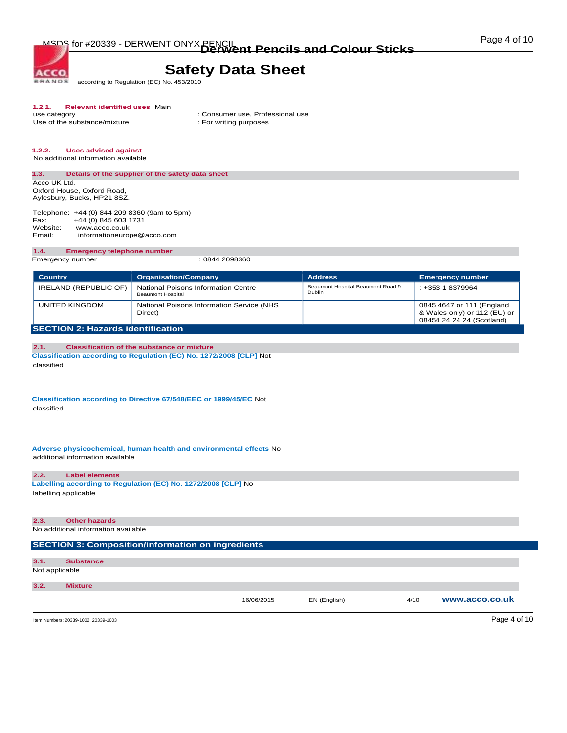**BRANDS** according to Regulation (EC) No. 453/2010

# **1.2.1. Relevant identified uses** Main

Use of the substance/mixture

**ACCO** 

: Consumer use, Professional use : For writing purposes

## **1.2.2. Uses advised against**

No additional information available

#### **1.3. Details of the supplier of the safety data sheet**  Acco UK Ltd.

Oxford House, Oxford Road, Aylesbury, Bucks, HP21 8SZ.

Telephone: +44 (0) 844 209 8360 (9am to 5pm)<br>Fax: +44 (0) 845 603 1731 Fax: +44 (0) 845 603 1731<br>Website: www.acco.co.uk Website: www.acco.co.uk<br>Email: informationeuror informationeurope@acco.com

#### **1.4. Emergency telephone number**

Emergency number : 0844 2098360

| <b>Country</b>                           | <b>Organisation/Company</b>                                     | <b>Address</b>                              | <b>Emergency number</b>                                                                |
|------------------------------------------|-----------------------------------------------------------------|---------------------------------------------|----------------------------------------------------------------------------------------|
| IRELAND (REPUBLIC OF)                    | National Poisons Information Centre<br><b>Beaumont Hospital</b> | Beaumont Hospital Beaumont Road 9<br>Dublin | : +353 1 8379964                                                                       |
| UNITED KINGDOM                           | National Poisons Information Service (NHS<br>Direct)            |                                             | 0845 4647 or 111 (England<br>& Wales only) or 112 (EU) or<br>08454 24 24 24 (Scotland) |
| <b>SECTION 2: Hazards identification</b> |                                                                 |                                             |                                                                                        |

#### **2.1. Classification of the substance or mixture Classification according to Regulation (EC) No. 1272/2008 [CLP]** Not classified

**Classification according to Directive 67/548/EEC or 1999/45/EC** Not classified

**Adverse physicochemical, human health and environmental effects** No additional information available

#### **2.2. Label elements**

**Labelling according to Regulation (EC) No. 1272/2008 [CLP]** No labelling applicable

## **2.3. Other hazards**

No additional information available

### **SECTION 3: Composition/information on ingredients**

| 3.1.<br><b>Substance</b><br>Not applicable<br>3.2.<br><b>Mixture</b> |  | 16/06/2015 | EN (English) | 4/10 | www.acco.co.uk |
|----------------------------------------------------------------------|--|------------|--------------|------|----------------|
|                                                                      |  |            |              |      |                |
|                                                                      |  |            |              |      |                |
|                                                                      |  |            |              |      |                |

Item Numbers: 20339-1002, 20339-1003 Page 4 of 10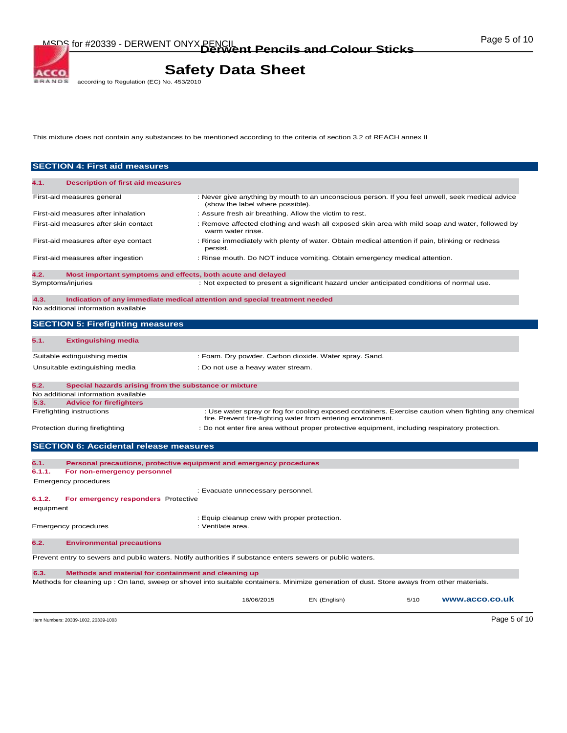# **Safety Data Sheet**<br>according to Regulation (EC) No. 453/2010

This mixture does not contain any substances to be mentioned according to the criteria of section 3.2 of REACH annex II

| <b>SECTION 4: First aid measures</b>                                                                                                                                                                       |                                                                                                                                      |              |      |                                                                                                      |
|------------------------------------------------------------------------------------------------------------------------------------------------------------------------------------------------------------|--------------------------------------------------------------------------------------------------------------------------------------|--------------|------|------------------------------------------------------------------------------------------------------|
| 4.1.<br><b>Description of first aid measures</b>                                                                                                                                                           |                                                                                                                                      |              |      |                                                                                                      |
| First-aid measures general                                                                                                                                                                                 | : Never give anything by mouth to an unconscious person. If you feel unwell, seek medical advice<br>(show the label where possible). |              |      |                                                                                                      |
| First-aid measures after inhalation                                                                                                                                                                        | : Assure fresh air breathing. Allow the victim to rest.                                                                              |              |      |                                                                                                      |
| First-aid measures after skin contact                                                                                                                                                                      | : Remove affected clothing and wash all exposed skin area with mild soap and water, followed by<br>warm water rinse.                 |              |      |                                                                                                      |
| First-aid measures after eye contact                                                                                                                                                                       | : Rinse immediately with plenty of water. Obtain medical attention if pain, blinking or redness<br>persist.                          |              |      |                                                                                                      |
| First-aid measures after ingestion                                                                                                                                                                         | : Rinse mouth. Do NOT induce vomiting. Obtain emergency medical attention.                                                           |              |      |                                                                                                      |
| 4.2.<br>Most important symptoms and effects, both acute and delayed                                                                                                                                        |                                                                                                                                      |              |      |                                                                                                      |
| Symptoms/injuries                                                                                                                                                                                          | : Not expected to present a significant hazard under anticipated conditions of normal use.                                           |              |      |                                                                                                      |
| Indication of any immediate medical attention and special treatment needed<br>4.3.<br>No additional information available                                                                                  |                                                                                                                                      |              |      |                                                                                                      |
|                                                                                                                                                                                                            |                                                                                                                                      |              |      |                                                                                                      |
| <b>SECTION 5: Firefighting measures</b>                                                                                                                                                                    |                                                                                                                                      |              |      |                                                                                                      |
| 5.1.<br><b>Extinguishing media</b>                                                                                                                                                                         |                                                                                                                                      |              |      |                                                                                                      |
| Suitable extinguishing media                                                                                                                                                                               | : Foam. Dry powder. Carbon dioxide. Water spray. Sand.                                                                               |              |      |                                                                                                      |
| Unsuitable extinguishing media                                                                                                                                                                             | : Do not use a heavy water stream.                                                                                                   |              |      |                                                                                                      |
| 5.2.<br>Special hazards arising from the substance or mixture                                                                                                                                              |                                                                                                                                      |              |      |                                                                                                      |
| No additional information available                                                                                                                                                                        |                                                                                                                                      |              |      |                                                                                                      |
| <b>Advice for firefighters</b><br>5.3.                                                                                                                                                                     |                                                                                                                                      |              |      |                                                                                                      |
| Firefighting instructions                                                                                                                                                                                  | fire. Prevent fire-fighting water from entering environment.                                                                         |              |      | : Use water spray or fog for cooling exposed containers. Exercise caution when fighting any chemical |
| Protection during firefighting                                                                                                                                                                             | : Do not enter fire area without proper protective equipment, including respiratory protection.                                      |              |      |                                                                                                      |
| <b>SECTION 6: Accidental release measures</b>                                                                                                                                                              |                                                                                                                                      |              |      |                                                                                                      |
| Personal precautions, protective equipment and emergency procedures<br>6.1.                                                                                                                                |                                                                                                                                      |              |      |                                                                                                      |
| 6.1.1.<br>For non-emergency personnel                                                                                                                                                                      |                                                                                                                                      |              |      |                                                                                                      |
| Emergency procedures                                                                                                                                                                                       | : Evacuate unnecessary personnel.                                                                                                    |              |      |                                                                                                      |
| 6.1.2.<br>For emergency responders Protective                                                                                                                                                              |                                                                                                                                      |              |      |                                                                                                      |
| equipment                                                                                                                                                                                                  |                                                                                                                                      |              |      |                                                                                                      |
| <b>Emergency procedures</b>                                                                                                                                                                                | : Equip cleanup crew with proper protection.<br>: Ventilate area.                                                                    |              |      |                                                                                                      |
| 6.2.<br><b>Environmental precautions</b>                                                                                                                                                                   |                                                                                                                                      |              |      |                                                                                                      |
| Prevent entry to sewers and public waters. Notify authorities if substance enters sewers or public waters.                                                                                                 |                                                                                                                                      |              |      |                                                                                                      |
|                                                                                                                                                                                                            |                                                                                                                                      |              |      |                                                                                                      |
| 6.3.<br>Methods and material for containment and cleaning up<br>Methods for cleaning up: On land, sweep or shovel into suitable containers. Minimize generation of dust. Store aways from other materials. |                                                                                                                                      |              |      |                                                                                                      |
|                                                                                                                                                                                                            | 16/06/2015                                                                                                                           | EN (English) | 5/10 | www.acco.co.uk                                                                                       |
| Item Numbers: 20339-1002, 20339-1003                                                                                                                                                                       |                                                                                                                                      |              |      | Page 5 of 10                                                                                         |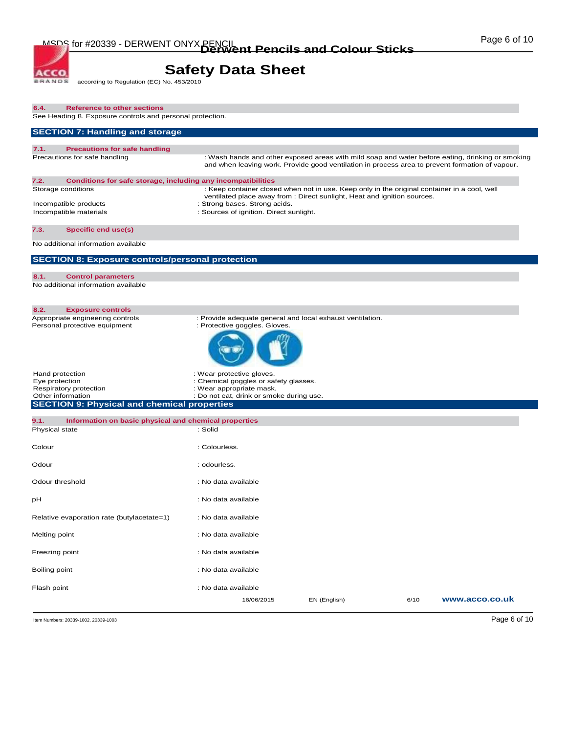# **Safety Data Sheet**<br>according to Regulation (EC) No. 453/2010

| 6.4.                                                   | <b>Reference to other sections</b>                                                                                                    |                                                                                                                                                                                                                                                      |              |      |                |
|--------------------------------------------------------|---------------------------------------------------------------------------------------------------------------------------------------|------------------------------------------------------------------------------------------------------------------------------------------------------------------------------------------------------------------------------------------------------|--------------|------|----------------|
|                                                        | See Heading 8. Exposure controls and personal protection.                                                                             |                                                                                                                                                                                                                                                      |              |      |                |
|                                                        | <b>SECTION 7: Handling and storage</b>                                                                                                |                                                                                                                                                                                                                                                      |              |      |                |
| 7.1.                                                   | <b>Precautions for safe handling</b><br>Precautions for safe handling                                                                 | : Wash hands and other exposed areas with mild soap and water before eating, drinking or smoking<br>and when leaving work. Provide good ventilation in process area to prevent formation of vapour.                                                  |              |      |                |
| 7.2.                                                   | Conditions for safe storage, including any incompatibilities<br>Storage conditions<br>Incompatible products<br>Incompatible materials | : Keep container closed when not in use. Keep only in the original container in a cool, well<br>ventilated place away from : Direct sunlight, Heat and ignition sources.<br>: Strong bases. Strong acids.<br>: Sources of ignition. Direct sunlight. |              |      |                |
| 7.3.                                                   | <b>Specific end use(s)</b>                                                                                                            |                                                                                                                                                                                                                                                      |              |      |                |
|                                                        | No additional information available                                                                                                   |                                                                                                                                                                                                                                                      |              |      |                |
|                                                        | <b>SECTION 8: Exposure controls/personal protection</b>                                                                               |                                                                                                                                                                                                                                                      |              |      |                |
| 8.1.                                                   | <b>Control parameters</b><br>No additional information available                                                                      |                                                                                                                                                                                                                                                      |              |      |                |
| 8.2.                                                   | <b>Exposure controls</b><br>Appropriate engineering controls<br>Personal protective equipment                                         | : Provide adequate general and local exhaust ventilation.<br>: Protective goggles. Gloves.                                                                                                                                                           |              |      |                |
| Hand protection<br>Eye protection<br>Other information | Respiratory protection<br><b>SECTION 9: Physical and chemical properties</b>                                                          | : Wear protective gloves.<br>: Chemical goggles or safety glasses.<br>: Wear appropriate mask.<br>: Do not eat, drink or smoke during use.                                                                                                           |              |      |                |
| 9.1.                                                   | Information on basic physical and chemical properties                                                                                 |                                                                                                                                                                                                                                                      |              |      |                |
| Physical state                                         |                                                                                                                                       | : Solid                                                                                                                                                                                                                                              |              |      |                |
| Colour                                                 |                                                                                                                                       | : Colourless.                                                                                                                                                                                                                                        |              |      |                |
| Odour                                                  |                                                                                                                                       | : odourless.                                                                                                                                                                                                                                         |              |      |                |
| Odour threshold                                        |                                                                                                                                       | : No data available                                                                                                                                                                                                                                  |              |      |                |
| рH                                                     |                                                                                                                                       | : No data available                                                                                                                                                                                                                                  |              |      |                |
|                                                        | Relative evaporation rate (butylacetate=1)                                                                                            | : No data available                                                                                                                                                                                                                                  |              |      |                |
| Melting point                                          |                                                                                                                                       | : No data available                                                                                                                                                                                                                                  |              |      |                |
| Freezing point                                         |                                                                                                                                       | : No data available                                                                                                                                                                                                                                  |              |      |                |
| Boiling point                                          |                                                                                                                                       | : No data available                                                                                                                                                                                                                                  |              |      |                |
| Flash point                                            |                                                                                                                                       | : No data available<br>16/06/2015                                                                                                                                                                                                                    | EN (English) | 6/10 | www.acco.co.uk |

Item Numbers: 20339-1002, 20339-1003 Page 6 of 10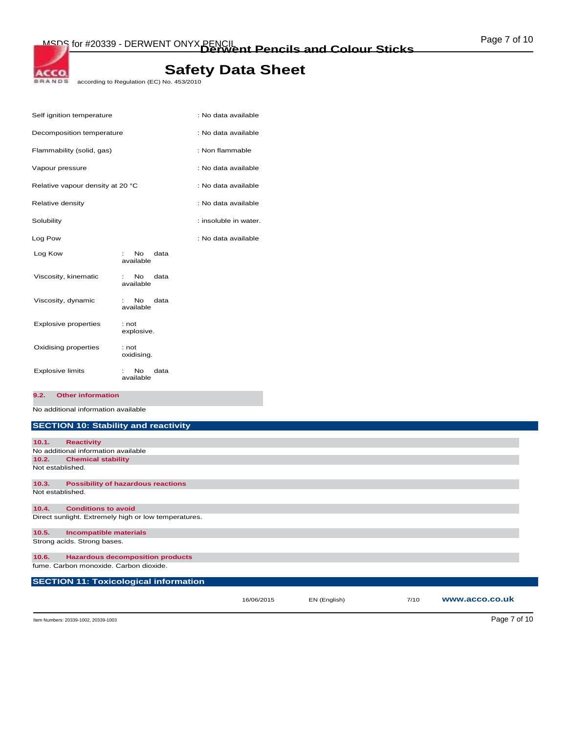# **Safety Data Sheet**<br>according to Regulation (EC) No. 453/2010

| Self ignition temperature        |                                                      | : No data available   |
|----------------------------------|------------------------------------------------------|-----------------------|
| Decomposition temperature        |                                                      | : No data available   |
| Flammability (solid, gas)        |                                                      | : Non flammable       |
| Vapour pressure                  |                                                      | : No data available   |
| Relative vapour density at 20 °C |                                                      | : No data available   |
| Relative density                 |                                                      | : No data available   |
| Solubility                       |                                                      | : insoluble in water. |
| Log Pow                          |                                                      | : No data available   |
| Log Kow                          | Nο<br>data<br>$\mathbb{R}^{\mathbb{Z}}$<br>available |                       |
| Viscosity, kinematic             | data<br>No.<br>available                             |                       |
| Viscosity, dynamic               | data<br>No.<br>available                             |                       |
| <b>Explosive properties</b>      | : not<br>explosive.                                  |                       |
| Oxidising properties             | : not<br>oxidising.                                  |                       |
| <b>Explosive limits</b>          | No<br>data<br>available                              |                       |

**9.2. Other information** 

No additional information available

## **SECTION 10: Stability and reactivity**

| 10.1.            | <b>Reactivity</b>                                    |            |              |      |                |
|------------------|------------------------------------------------------|------------|--------------|------|----------------|
|                  | No additional information available                  |            |              |      |                |
| 10.2.            | <b>Chemical stability</b>                            |            |              |      |                |
| Not established. |                                                      |            |              |      |                |
| 10.3.            | <b>Possibility of hazardous reactions</b>            |            |              |      |                |
| Not established. |                                                      |            |              |      |                |
| 10.4.            | <b>Conditions to avoid</b>                           |            |              |      |                |
|                  | Direct sunlight. Extremely high or low temperatures. |            |              |      |                |
| 10.5.            | <b>Incompatible materials</b>                        |            |              |      |                |
|                  | Strong acids. Strong bases.                          |            |              |      |                |
| 10.6.            | <b>Hazardous decomposition products</b>              |            |              |      |                |
|                  | fume. Carbon monoxide. Carbon dioxide.               |            |              |      |                |
|                  | <b>SECTION 11: Toxicological information</b>         |            |              |      |                |
|                  |                                                      | 16/06/2015 | EN (English) | 7/10 | www.acco.co.uk |

Item Numbers: 20339-1002, 20339-1003 Page 7 of 10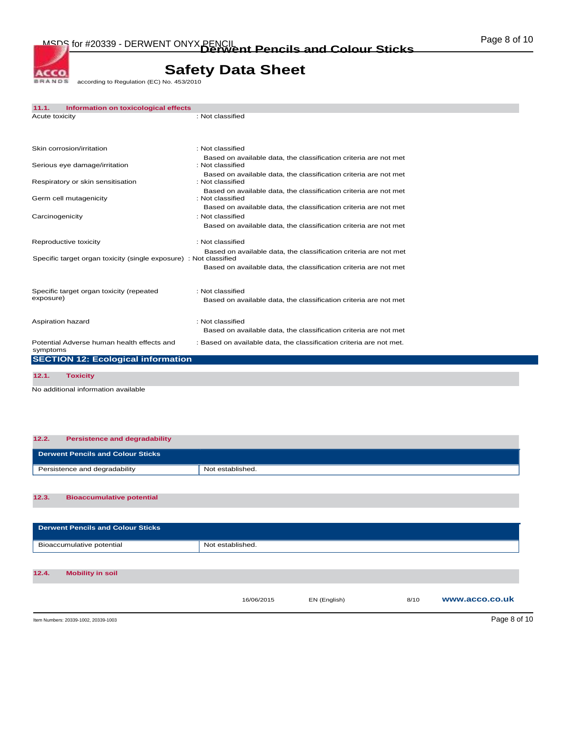MSDS for #20339 - DERWENT ONYX PENCIL<br> **Derwent Pencils and Colour Sticks Colour Material** 

# **Safety Data Sheet**<br>according to Regulation (EC) No. 453/2010

| 11.1.           | Information on toxicological effects                              |                                                                                      |
|-----------------|-------------------------------------------------------------------|--------------------------------------------------------------------------------------|
| Acute toxicity  |                                                                   | : Not classified                                                                     |
|                 | Skin corrosion/irritation                                         | : Not classified                                                                     |
|                 | Serious eye damage/irritation                                     | Based on available data, the classification criteria are not met<br>: Not classified |
|                 | Respiratory or skin sensitisation                                 | Based on available data, the classification criteria are not met<br>: Not classified |
|                 | Germ cell mutagenicity                                            | Based on available data, the classification criteria are not met<br>: Not classified |
|                 |                                                                   | Based on available data, the classification criteria are not met                     |
| Carcinogenicity |                                                                   | : Not classified<br>Based on available data, the classification criteria are not met |
|                 | Reproductive toxicity                                             | : Not classified                                                                     |
|                 | Specific target organ toxicity (single exposure) : Not classified | Based on available data, the classification criteria are not met                     |
|                 |                                                                   | Based on available data, the classification criteria are not met                     |
|                 | Specific target organ toxicity (repeated                          | : Not classified                                                                     |
| exposure)       |                                                                   | Based on available data, the classification criteria are not met                     |
|                 | Aspiration hazard                                                 | : Not classified<br>Based on available data, the classification criteria are not met |
| symptoms        | Potential Adverse human health effects and                        | : Based on available data, the classification criteria are not met.                  |
|                 | <b>SECTION 12: Ecological information</b>                         |                                                                                      |
| 12.1.           | <b>Toxicity</b>                                                   |                                                                                      |
|                 |                                                                   |                                                                                      |

No additional information available

| 12.2.<br><b>Persistence and degradability</b> |                  |
|-----------------------------------------------|------------------|
| <b>Derwent Pencils and Colour Sticks</b>      |                  |
| Persistence and degradability                 | Not established. |
|                                               |                  |

#### **12.3. Bioaccumulative potential**

| <b>Derwent Pencils and Colour Sticks</b> |                  |              |      |                |
|------------------------------------------|------------------|--------------|------|----------------|
| Bioaccumulative potential                | Not established. |              |      |                |
|                                          |                  |              |      |                |
| 12.4.<br><b>Mobility in soil</b>         |                  |              |      |                |
|                                          | 16/06/2015       | EN (English) | 8/10 | www.acco.co.uk |
| Item Numbers: 20339-1002, 20339-1003     |                  |              |      | Page 8 of 10   |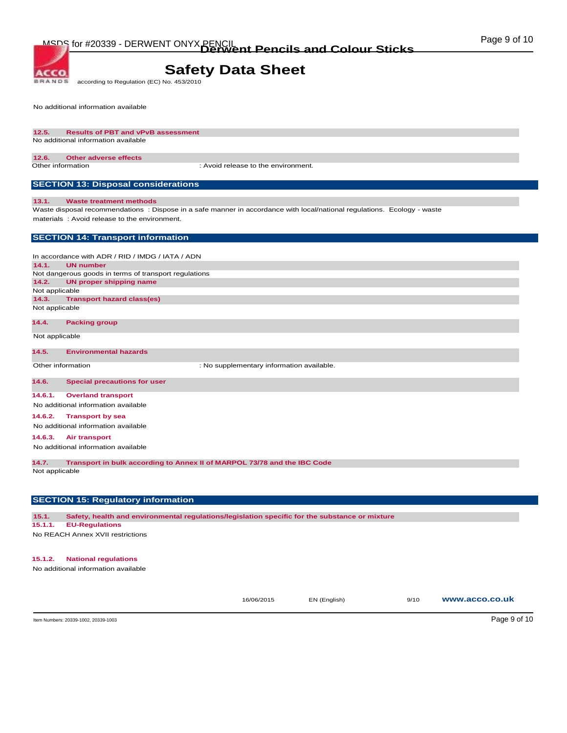**BRANDS** according to Regulation (EC) No. 453/2010

No additional information available

**ACCO** 

#### **12.5. Results of PBT and vPvB assessment**  No additional information available

#### **12.6. Other adverse effects**

Other information : Avoid release to the environment.

## **SECTION 13: Disposal considerations**

#### **13.1. Waste treatment methods**

Waste disposal recommendations : Dispose in a safe manner in accordance with local/national regulations. Ecology - waste materials : Avoid release to the environment.

#### **SECTION 14: Transport information**

In accordance with ADR / RID / IMDG / IATA / ADN **14.1. UN number**  Not dangerous goods in terms of transport regulations **14.2. UN proper shipping name**  Not applicable **14.3. Transport hazard class(es)**  Not applicable

#### **14.4. Packing group**

Not applicable

#### **14.5. Environmental hazards**

Other information  $\qquad \qquad :$  No supplementary information available.

#### **14.6. Special precautions for user**

**14.6.1. Overland transport** 

#### No additional information available

**14.6.2. Transport by sea** 

No additional information available

#### **14.6.3. Air transport**

No additional information available

**14.7. Transport in bulk according to Annex II of MARPOL 73/78 and the IBC Code** 

Not applicable

### **SECTION 15: Regulatory information**

**15.1. Safety, health and environmental regulations/legislation specific for the substance or mixture** 

#### **15.1.1. EU-Regulations**

No REACH Annex XVII restrictions

#### **15.1.2. National regulations**

No additional information available

16/06/2015 EN (English) 9/10 **www.acco.co.uk**